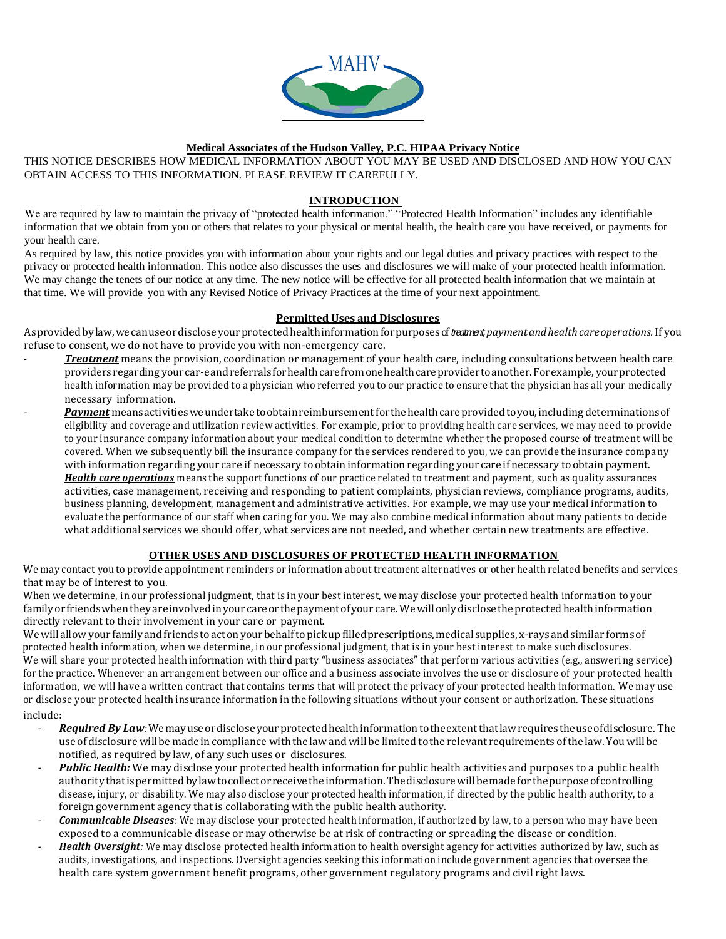

## **Medical Associates of the Hudson Valley, P.C. HIPAA Privacy Notice**

THIS NOTICE DESCRIBES HOW MEDICAL INFORMATION ABOUT YOU MAY BE USED AND DISCLOSED AND HOW YOU CAN OBTAIN ACCESS TO THIS INFORMATION. PLEASE REVIEW IT CAREFULLY.

# **INTRODUCTION**

We are required by law to maintain the privacy of "protected health information." "Protected Health Information" includes any identifiable information that we obtain from you or others that relates to your physical or mental health, the health care you have received, or payments for your health care.

As required by law, this notice provides you with information about your rights and our legal duties and privacy practices with respect to the privacy or protected health information. This notice also discusses the uses and disclosures we will make of your protected health information. We may change the tenets of our notice at any time. The new notice will be effective for all protected health information that we maintain at that time. We will provide you with any Revised Notice of Privacy Practices at the time of your next appointment.

#### **Permitted Uses and Disclosures**

As provided by law, we canuse or disclose your protected health information for purposes of *treatment, payment and health care operations.* If you refuse to consent, we do not have to provide you with non-emergency care.

- *- Treatment* means the provision, coordination or management of your health care, including consultations between health care providers regarding your car-eand referrals for health care from one health care provider to another. For example, your protected health information may be provided to a physician who referred you to our practice to ensure that the physician has all your medically necessary information.
- *Payment* means activities we undertake to obtain reimbursement for the health care provided to you, including determinations of eligibility and coverage and utilization review activities. For example, prior to providing health care services, we may need to provide to your insurance company information about your medical condition to determine whether the proposed course of treatment will be covered. When we subsequently bill the insurance company for the services rendered to you, we can provide the insurance compa ny with information regarding your care if necessary to obtain information regarding your care if necessary to obtain payment. *Health care operations* means the support functions of our practice related to treatment and payment, such as quality assurances activities, case management, receiving and responding to patient complaints, physician reviews, compliance programs, audits, business planning, development, management and administrative activities. For example, we may use your medical information to evaluate the performance of our staff when caring for you. We may also combine medical information about many patients to decide what additional services we should offer, what services are not needed, and whether certain new treatments are effective.

## **OTHER USES AND DISCLOSURES OF PROTECTED HEALTH INFORMATION**

We may contact you to provide appointment reminders or information about treatment alternatives or other health related benefits and services that may be of interest to you.

When we determine, in our professional judgment, that is in your best interest, we may disclose your protected health information to your familyorfriendswhentheyareinvolvedinyour careor thepaymentofyour care.Wewillonlydisclose theprotectedhealthinformation directly relevant to their involvement in your care or payment.

We will allow your family and friends to act on your behalf to pick up filled prescriptions, medical supplies, x-rays and similar forms of protected health information, when we determine, in our professional judgment, that is in your best interest to make such disclosures. We will share your protected health information with third party "business associates" that perform various activities (e.g., answeri ng service) for the practice. Whenever an arrangement between our office and a business associate involves the use or disclosure of your protected health information, we will have a written contract that contains terms that will protect the privacy of your protected health information. We may use or disclose your protected health insurance information in the following situations without your consent or authorization. Thesesituations include:

- *- Required By Law:*Wemayuseordiscloseyourprotectedhealthinformationtotheextentthatlawrequirestheuseofdisclosure. The use of disclosure willbe made incompliance withthe lawand willbe limited tothe relevant requirements ofthe law. You will be notified, as required by law, of any such uses or disclosures.
- *- Public Health:* We may disclose your protected health information for public health activities and purposes to a public health authority thatispermittedbylawtocollectorreceive theinformation.Thedisclosurewillbemadefor thepurposeofcontrolling disease, injury, or disability. We may also disclose your protected health information, if directed by the public health authority, to a foreign government agency that is collaborating with the public health authority.
- *- Communicable Diseases:* We may disclose your protected health information, if authorized by law, to a person who may have been exposed to a communicable disease or may otherwise be at risk of contracting or spreading the disease or condition.
- *- Health Oversight:* We may disclose protected health information to health oversight agency for activities authorized by law, such as audits, investigations, and inspections. Oversight agencies seeking this information include government agencies that oversee the health care system government benefit programs, other government regulatory programs and civil right laws.